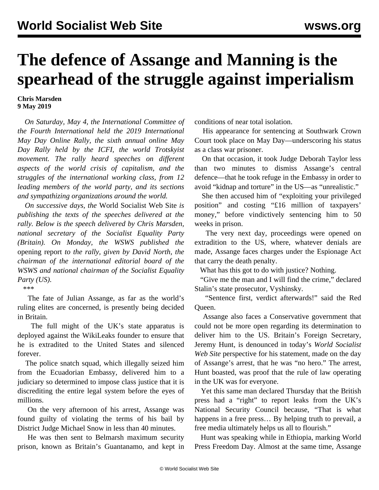## **The defence of Assange and Manning is the spearhead of the struggle against imperialism**

## **Chris Marsden 9 May 2019**

 *On Saturday, May 4, the International Committee of the Fourth International held the 2019 International May Day Online Rally, the sixth annual online May Day Rally held by the ICFI, the world Trotskyist movement. The rally heard speeches on different aspects of the world crisis of capitalism, and the struggles of the international working class, from 12 leading members of the world party, and its sections and sympathizing organizations around the world.*

 *On successive days, the* World Socialist Web Site *is publishing the texts of the speeches delivered at the rally. Below is the speech delivered by Chris Marsden, national secretary of the Socialist Equality Party (Britain). On Monday, the WSWS published the* [opening report](/en/articles/2019/05/06/nort-m06.html) *to the rally, given by David North, the chairman of the international editorial board of the WSWS and national chairman of the Socialist Equality Party (US).*

\*\*\*

 The fate of Julian Assange, as far as the world's ruling elites are concerned, is presently being decided in Britain.

 The full might of the UK's state apparatus is deployed against the WikiLeaks founder to ensure that he is extradited to the United States and silenced forever.

 The police snatch squad, which illegally seized him from the Ecuadorian Embassy, delivered him to a judiciary so determined to impose class justice that it is discrediting the entire legal system before the eyes of millions.

 On the very afternoon of his arrest, Assange was found guilty of violating the terms of his bail by District Judge Michael Snow in less than 40 minutes.

 He was then sent to Belmarsh maximum security prison, known as Britain's Guantanamo, and kept in conditions of near total isolation.

 His appearance for sentencing at Southwark Crown Court took place on May Day—underscoring his status as a class war prisoner.

 On that occasion, it took Judge Deborah Taylor less than two minutes to dismiss Assange's central defence—that he took refuge in the Embassy in order to avoid "kidnap and torture" in the US—as "unrealistic."

 She then accused him of "exploiting your privileged position" and costing "£16 million of taxpayers' money," before vindictively sentencing him to 50 weeks in prison.

 The very next day, proceedings were opened on extradition to the US, where, whatever denials are made, Assange faces charges under the Espionage Act that carry the death penalty.

What has this got to do with justice? Nothing.

 "Give me the man and I will find the crime," declared Stalin's state prosecutor, Vyshinsky.

 "Sentence first, verdict afterwards!" said the Red Queen.

 Assange also faces a Conservative government that could not be more open regarding its determination to deliver him to the US. Britain's Foreign Secretary, Jeremy Hunt, is denounced in today's *World Socialist Web Site* perspective for his statement, made on the day of Assange's arrest, that he was "no hero." The arrest, Hunt boasted, was proof that the rule of law operating in the UK was for everyone.

 Yet this same man declared Thursday that the British press had a "right" to report leaks from the UK's National Security Council because, "That is what happens in a free press... By helping truth to prevail, a free media ultimately helps us all to flourish."

 Hunt was speaking while in Ethiopia, marking World Press Freedom Day. Almost at the same time, Assange